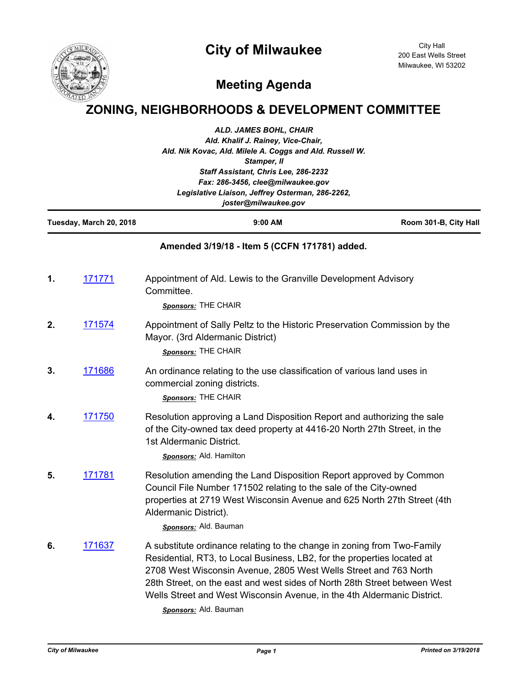## **City of Milwaukee**



City Hall 200 East Wells Street Milwaukee, WI 53202

## **Meeting Agenda**

## **ZONING, NEIGHBORHOODS & DEVELOPMENT COMMITTEE**

| ALD. JAMES BOHL, CHAIR<br>Ald. Khalif J. Rainey, Vice-Chair,<br>Ald. Nik Kovac, Ald. Milele A. Coggs and Ald. Russell W.<br>Stamper, II<br>Staff Assistant, Chris Lee, 286-2232<br>Fax: 286-3456, clee@milwaukee.gov<br>Legislative Liaison, Jeffrey Osterman, 286-2262,<br>joster@milwaukee.gov |                         |                                                                                                                                                                                                                                                                                                                                                                                                         |                       |
|--------------------------------------------------------------------------------------------------------------------------------------------------------------------------------------------------------------------------------------------------------------------------------------------------|-------------------------|---------------------------------------------------------------------------------------------------------------------------------------------------------------------------------------------------------------------------------------------------------------------------------------------------------------------------------------------------------------------------------------------------------|-----------------------|
|                                                                                                                                                                                                                                                                                                  | Tuesday, March 20, 2018 | 9:00 AM                                                                                                                                                                                                                                                                                                                                                                                                 | Room 301-B, City Hall |
|                                                                                                                                                                                                                                                                                                  |                         | Amended 3/19/18 - Item 5 (CCFN 171781) added.                                                                                                                                                                                                                                                                                                                                                           |                       |
| 1.                                                                                                                                                                                                                                                                                               | 171771                  | Appointment of Ald. Lewis to the Granville Development Advisory<br>Committee.<br>Sponsors: THE CHAIR                                                                                                                                                                                                                                                                                                    |                       |
| 2.                                                                                                                                                                                                                                                                                               | 171574                  | Appointment of Sally Peltz to the Historic Preservation Commission by the<br>Mayor. (3rd Aldermanic District)<br>Sponsors: THE CHAIR                                                                                                                                                                                                                                                                    |                       |
| 3.                                                                                                                                                                                                                                                                                               | 171686                  | An ordinance relating to the use classification of various land uses in<br>commercial zoning districts.<br>Sponsors: THE CHAIR                                                                                                                                                                                                                                                                          |                       |
| 4.                                                                                                                                                                                                                                                                                               | 171750                  | Resolution approving a Land Disposition Report and authorizing the sale<br>of the City-owned tax deed property at 4416-20 North 27th Street, in the<br>1st Aldermanic District.<br><b>Sponsors:</b> Ald. Hamilton                                                                                                                                                                                       |                       |
| 5.                                                                                                                                                                                                                                                                                               | 171781                  | Resolution amending the Land Disposition Report approved by Common<br>Council File Number 171502 relating to the sale of the City-owned<br>properties at 2719 West Wisconsin Avenue and 625 North 27th Street (4th<br>Aldermanic District).<br>Sponsors: Ald. Bauman                                                                                                                                    |                       |
| 6.                                                                                                                                                                                                                                                                                               | 171637                  | A substitute ordinance relating to the change in zoning from Two-Family<br>Residential, RT3, to Local Business, LB2, for the properties located at<br>2708 West Wisconsin Avenue, 2805 West Wells Street and 763 North<br>28th Street, on the east and west sides of North 28th Street between West<br>Wells Street and West Wisconsin Avenue, in the 4th Aldermanic District.<br>Sponsors: Ald. Bauman |                       |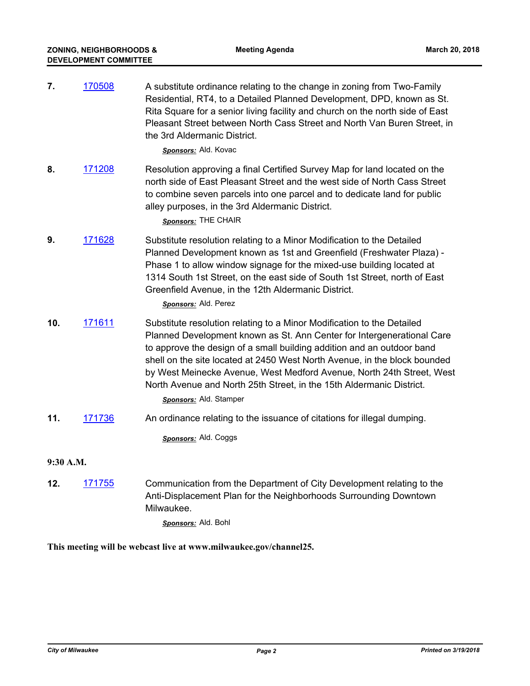| 7.        | 170508 | A substitute ordinance relating to the change in zoning from Two-Family<br>Residential, RT4, to a Detailed Planned Development, DPD, known as St.<br>Rita Square for a senior living facility and church on the north side of East<br>Pleasant Street between North Cass Street and North Van Buren Street, in<br>the 3rd Aldermanic District.<br>Sponsors: Ald. Kovac                                                                                                             |  |  |
|-----------|--------|------------------------------------------------------------------------------------------------------------------------------------------------------------------------------------------------------------------------------------------------------------------------------------------------------------------------------------------------------------------------------------------------------------------------------------------------------------------------------------|--|--|
| 8.        | 171208 | Resolution approving a final Certified Survey Map for land located on the<br>north side of East Pleasant Street and the west side of North Cass Street<br>to combine seven parcels into one parcel and to dedicate land for public<br>alley purposes, in the 3rd Aldermanic District.<br>Sponsors: THE CHAIR                                                                                                                                                                       |  |  |
| 9.        | 171628 | Substitute resolution relating to a Minor Modification to the Detailed<br>Planned Development known as 1st and Greenfield (Freshwater Plaza) -<br>Phase 1 to allow window signage for the mixed-use building located at<br>1314 South 1st Street, on the east side of South 1st Street, north of East<br>Greenfield Avenue, in the 12th Aldermanic District.<br>Sponsors: Ald. Perez                                                                                               |  |  |
| 10.       | 171611 | Substitute resolution relating to a Minor Modification to the Detailed<br>Planned Development known as St. Ann Center for Intergenerational Care<br>to approve the design of a small building addition and an outdoor band<br>shell on the site located at 2450 West North Avenue, in the block bounded<br>by West Meinecke Avenue, West Medford Avenue, North 24th Street, West<br>North Avenue and North 25th Street, in the 15th Aldermanic District.<br>Sponsors: Ald. Stamper |  |  |
| 11.       | 171736 | An ordinance relating to the issuance of citations for illegal dumping.                                                                                                                                                                                                                                                                                                                                                                                                            |  |  |
|           |        | Sponsors: Ald. Coggs                                                                                                                                                                                                                                                                                                                                                                                                                                                               |  |  |
| 9:30 A.M. |        |                                                                                                                                                                                                                                                                                                                                                                                                                                                                                    |  |  |
| 12.       | 171755 | Communication from the Department of City Development relating to the<br>Anti-Displacement Plan for the Neighborhoods Surrounding Downtown<br>Milwaukee.<br>Sponsors: Ald. Bohl                                                                                                                                                                                                                                                                                                    |  |  |

**This meeting will be webcast live at www.milwaukee.gov/channel25.**